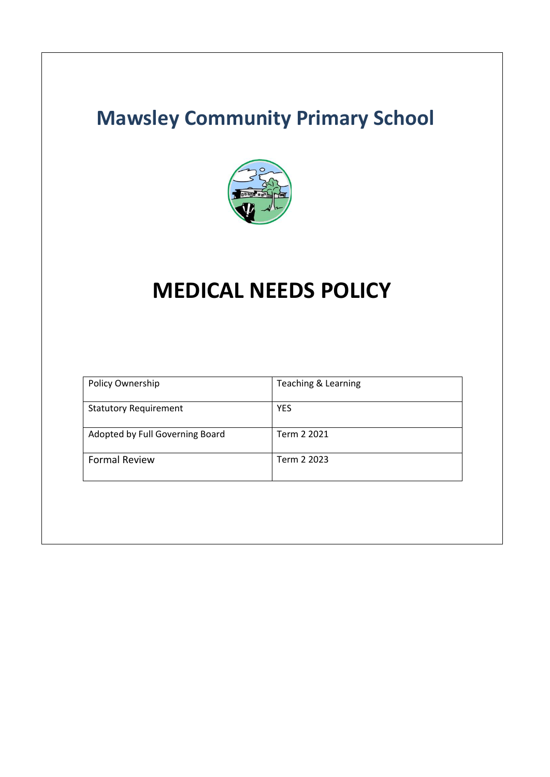# **Mawsley Community Primary School**



# **MEDICAL NEEDS POLICY**

| Policy Ownership                | Teaching & Learning |
|---------------------------------|---------------------|
| <b>Statutory Requirement</b>    | YES                 |
| Adopted by Full Governing Board | Term 2 2021         |
| <b>Formal Review</b>            | Term 2 2023         |
|                                 |                     |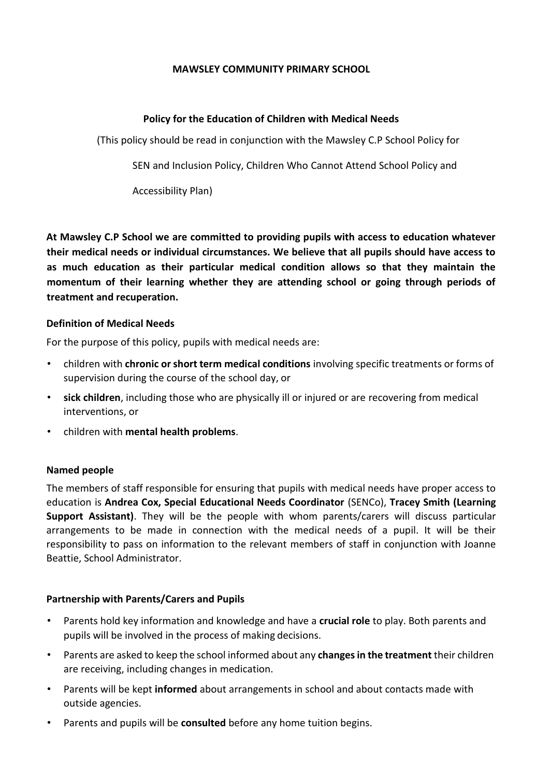#### **MAWSLEY COMMUNITY PRIMARY SCHOOL**

### **Policy for the Education of Children with Medical Needs**

(This policy should be read in conjunction with the Mawsley C.P School Policy for

SEN and Inclusion Policy, Children Who Cannot Attend School Policy and

Accessibility Plan)

**At Mawsley C.P School we are committed to providing pupils with access to education whatever their medical needs or individual circumstances. We believe that all pupils should have access to as much education as their particular medical condition allows so that they maintain the momentum of their learning whether they are attending school or going through periods of treatment and recuperation.**

#### **Definition of Medical Needs**

For the purpose of this policy, pupils with medical needs are:

- children with **chronic orshort term medical conditions** involving specific treatments or forms of supervision during the course of the school day, or
- **sick children**, including those who are physically ill or injured or are recovering from medical interventions, or
- children with **mental health problems**.

#### **Named people**

The members of staff responsible for ensuring that pupils with medical needs have proper access to education is **Andrea Cox, Special Educational Needs Coordinator** (SENCo), **Tracey Smith (Learning Support Assistant)**. They will be the people with whom parents/carers will discuss particular arrangements to be made in connection with the medical needs of a pupil. It will be their responsibility to pass on information to the relevant members of staff in conjunction with Joanne Beattie, School Administrator.

# **Partnership with Parents/Carers and Pupils**

- Parents hold key information and knowledge and have a **crucial role** to play. Both parents and pupils will be involved in the process of making decisions.
- Parents are asked to keep the school informed about any **changesin the treatment** their children are receiving, including changes in medication.
- Parents will be kept **informed** about arrangements in school and about contacts made with outside agencies.
- Parents and pupils will be **consulted** before any home tuition begins.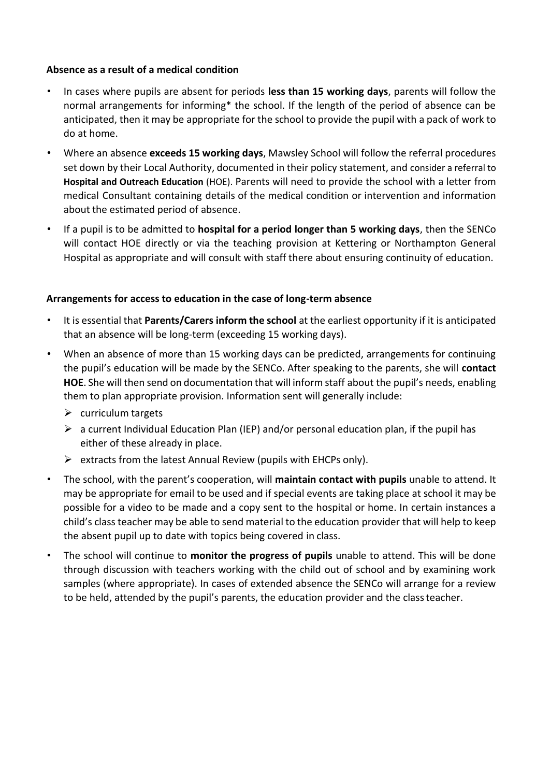#### **Absence as a result of a medical condition**

- In cases where pupils are absent for periods **less than 15 working days**, parents will follow the normal arrangements for informing\* the school. If the length of the period of absence can be anticipated, then it may be appropriate for the school to provide the pupil with a pack of work to do at home.
- Where an absence **exceeds 15 working days**, Mawsley School will follow the referral procedures set down by their Local Authority, documented in their policy statement, and consider a referral to **Hospital and Outreach Education** (HOE). Parents will need to provide the school with a letter from medical Consultant containing details of the medical condition or intervention and information about the estimated period of absence.
- If a pupil is to be admitted to **hospital for a period longer than 5 working days**, then the SENCo will contact HOE directly or via the teaching provision at Kettering or Northampton General Hospital as appropriate and will consult with staff there about ensuring continuity of education.

# **Arrangements for access to education in the case of long-term absence**

- It is essential that **Parents/Carers inform the school** at the earliest opportunity if it is anticipated that an absence will be long-term (exceeding 15 working days).
- When an absence of more than 15 working days can be predicted, arrangements for continuing the pupil's education will be made by the SENCo. After speaking to the parents, she will **contact HOE**. She will then send on documentation that will inform staff about the pupil's needs, enabling them to plan appropriate provision. Information sent will generally include:
	- $\triangleright$  curriculum targets
	- $\triangleright$  a current Individual Education Plan (IEP) and/or personal education plan, if the pupil has either of these already in place.
	- $\triangleright$  extracts from the latest Annual Review (pupils with EHCPs only).
- The school, with the parent's cooperation, will **maintain contact with pupils** unable to attend. It may be appropriate for email to be used and if special events are taking place at school it may be possible for a video to be made and a copy sent to the hospital or home. In certain instances a child's classteacher may be able to send material to the education provider that will help to keep the absent pupil up to date with topics being covered in class.
- The school will continue to **monitor the progress of pupils** unable to attend. This will be done through discussion with teachers working with the child out of school and by examining work samples (where appropriate). In cases of extended absence the SENCo will arrange for a review to be held, attended by the pupil's parents, the education provider and the classteacher.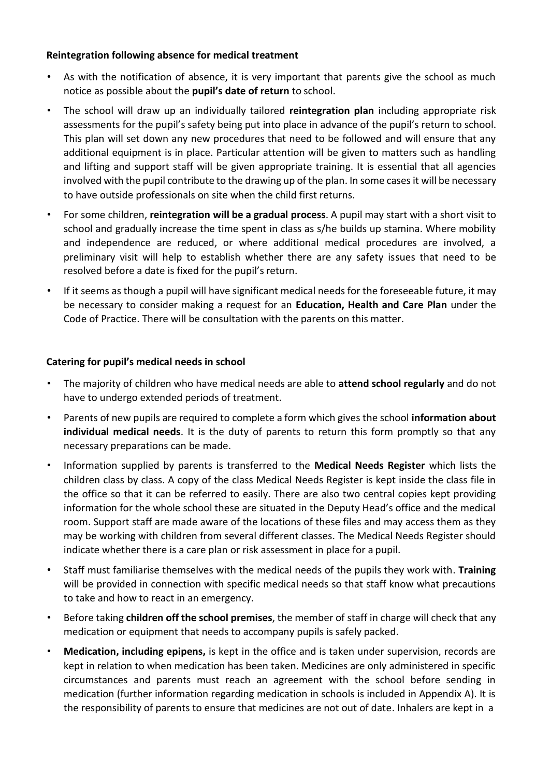#### **Reintegration following absence for medical treatment**

- As with the notification of absence, it is very important that parents give the school as much notice as possible about the **pupil's date of return** to school.
- The school will draw up an individually tailored **reintegration plan** including appropriate risk assessments for the pupil's safety being put into place in advance of the pupil's return to school. This plan will set down any new procedures that need to be followed and will ensure that any additional equipment is in place. Particular attention will be given to matters such as handling and lifting and support staff will be given appropriate training. It is essential that all agencies involved with the pupil contribute to the drawing up of the plan. In some casesit will be necessary to have outside professionals on site when the child first returns.
- For some children, **reintegration will be a gradual process**. A pupil may start with a short visit to school and gradually increase the time spent in class as s/he builds up stamina. Where mobility and independence are reduced, or where additional medical procedures are involved, a preliminary visit will help to establish whether there are any safety issues that need to be resolved before a date is fixed for the pupil's return.
- If it seems as though a pupil will have significant medical needs for the foreseeable future, it may be necessary to consider making a request for an **Education, Health and Care Plan** under the Code of Practice. There will be consultation with the parents on this matter.

# **Catering for pupil's medical needs in school**

- The majority of children who have medical needs are able to **attend school regularly** and do not have to undergo extended periods of treatment.
- Parents of new pupils are required to complete a form which gives the school **information about individual medical needs**. It is the duty of parents to return this form promptly so that any necessary preparations can be made.
- Information supplied by parents is transferred to the **Medical Needs Register** which lists the children class by class. A copy of the class Medical Needs Register is kept inside the class file in the office so that it can be referred to easily. There are also two central copies kept providing information for the whole school these are situated in the Deputy Head's office and the medical room. Support staff are made aware of the locations of these files and may access them as they may be working with children from several different classes. The Medical Needs Register should indicate whether there is a care plan or risk assessment in place for a pupil.
- Staff must familiarise themselves with the medical needs of the pupils they work with. **Training**  will be provided in connection with specific medical needs so that staff know what precautions to take and how to react in an emergency.
- Before taking **children off the school premises**, the member of staff in charge will check that any medication or equipment that needs to accompany pupils is safely packed.
- **Medication, including epipens,** is kept in the office and is taken under supervision, records are kept in relation to when medication has been taken. Medicines are only administered in specific circumstances and parents must reach an agreement with the school before sending in medication (further information regarding medication in schools is included in Appendix A). It is the responsibility of parents to ensure that medicines are not out of date. Inhalers are kept in a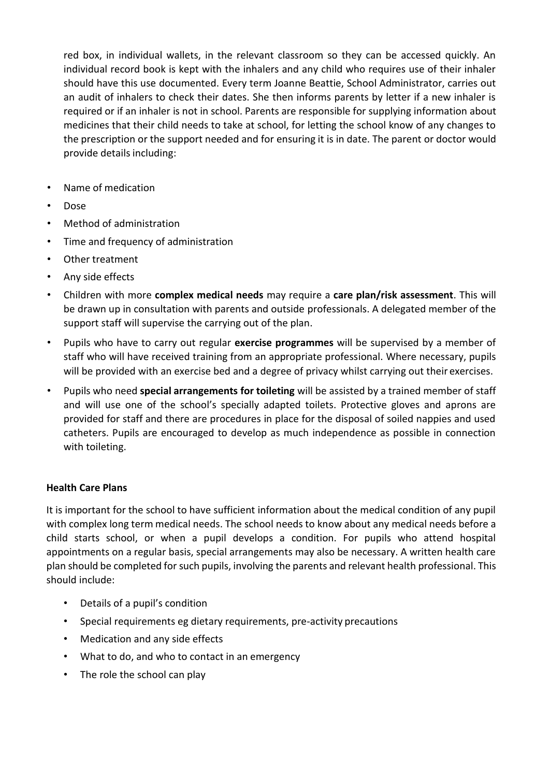red box, in individual wallets, in the relevant classroom so they can be accessed quickly. An individual record book is kept with the inhalers and any child who requires use of their inhaler should have this use documented. Every term Joanne Beattie, School Administrator, carries out an audit of inhalers to check their dates. She then informs parents by letter if a new inhaler is required or if an inhaler is not in school. Parents are responsible for supplying information about medicines that their child needs to take at school, for letting the school know of any changes to the prescription or the support needed and for ensuring it is in date. The parent or doctor would provide details including:

- Name of medication
- Dose
- Method of administration
- Time and frequency of administration
- Other treatment
- Any side effects
- Children with more **complex medical needs** may require a **care plan/risk assessment**. This will be drawn up in consultation with parents and outside professionals. A delegated member of the support staff will supervise the carrying out of the plan.
- Pupils who have to carry out regular **exercise programmes** will be supervised by a member of staff who will have received training from an appropriate professional. Where necessary, pupils will be provided with an exercise bed and a degree of privacy whilst carrying out their exercises.
- Pupils who need **special arrangements for toileting** will be assisted by a trained member of staff and will use one of the school's specially adapted toilets. Protective gloves and aprons are provided for staff and there are procedures in place for the disposal of soiled nappies and used catheters. Pupils are encouraged to develop as much independence as possible in connection with toileting.

# **Health Care Plans**

It is important for the school to have sufficient information about the medical condition of any pupil with complex long term medical needs. The school needs to know about any medical needs before a child starts school, or when a pupil develops a condition. For pupils who attend hospital appointments on a regular basis, special arrangements may also be necessary. A written health care plan should be completed for such pupils, involving the parents and relevant health professional. This should include:

- Details of a pupil's condition
- Special requirements eg dietary requirements, pre-activity precautions
- Medication and any side effects
- What to do, and who to contact in an emergency
- The role the school can play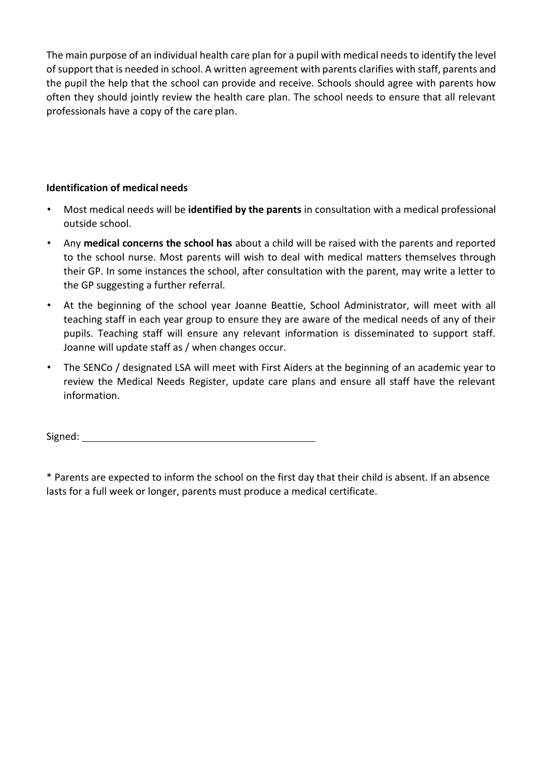The main purpose of an individual health care plan for a pupil with medical needs to identify the level of support that is needed in school. A written agreement with parents clarifies with staff, parents and the pupil the help that the school can provide and receive. Schools should agree with parents how often they should jointly review the health care plan. The school needs to ensure that all relevant professionals have a copy of the care plan.

# **Identification of medical needs**

- Most medical needs will be **identified by the parents** in consultation with a medical professional outside school.
- Any **medical concerns the school has** about a child will be raised with the parents and reported to the school nurse. Most parents will wish to deal with medical matters themselves through their GP. In some instances the school, after consultation with the parent, may write a letter to the GP suggesting a further referral.
- At the beginning of the school year Joanne Beattie, School Administrator, will meet with all teaching staff in each year group to ensure they are aware of the medical needs of any of their pupils. Teaching staff will ensure any relevant information is disseminated to support staff. Joanne will update staff as / when changes occur.
- The SENCo / designated LSA will meet with First Aiders at the beginning of an academic year to review the Medical Needs Register, update care plans and ensure all staff have the relevant information.

Signed:

\* Parents are expected to inform the school on the first day that their child is absent. If an absence lasts for a full week or longer, parents must produce a medical certificate.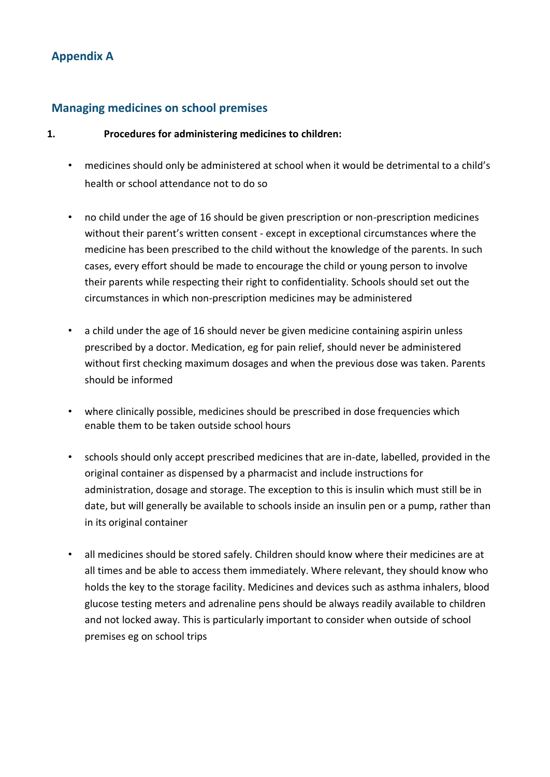# **Appendix A**

# **Managing medicines on school premises**

### **1. Procedures for administering medicines to children:**

- medicines should only be administered at school when it would be detrimental to a child's health or school attendance not to do so
- no child under the age of 16 should be given prescription or non-prescription medicines without their parent's written consent - except in exceptional circumstances where the medicine has been prescribed to the child without the knowledge of the parents. In such cases, every effort should be made to encourage the child or young person to involve their parents while respecting their right to confidentiality. Schools should set out the circumstances in which non-prescription medicines may be administered
- a child under the age of 16 should never be given medicine containing aspirin unless prescribed by a doctor. Medication, eg for pain relief, should never be administered without first checking maximum dosages and when the previous dose was taken. Parents should be informed
- where clinically possible, medicines should be prescribed in dose frequencies which enable them to be taken outside school hours
- schools should only accept prescribed medicines that are in-date, labelled, provided in the original container as dispensed by a pharmacist and include instructions for administration, dosage and storage. The exception to this is insulin which must still be in date, but will generally be available to schools inside an insulin pen or a pump, rather than in its original container
- all medicines should be stored safely. Children should know where their medicines are at all times and be able to access them immediately. Where relevant, they should know who holds the key to the storage facility. Medicines and devices such as asthma inhalers, blood glucose testing meters and adrenaline pens should be always readily available to children and not locked away. This is particularly important to consider when outside of school premises eg on school trips